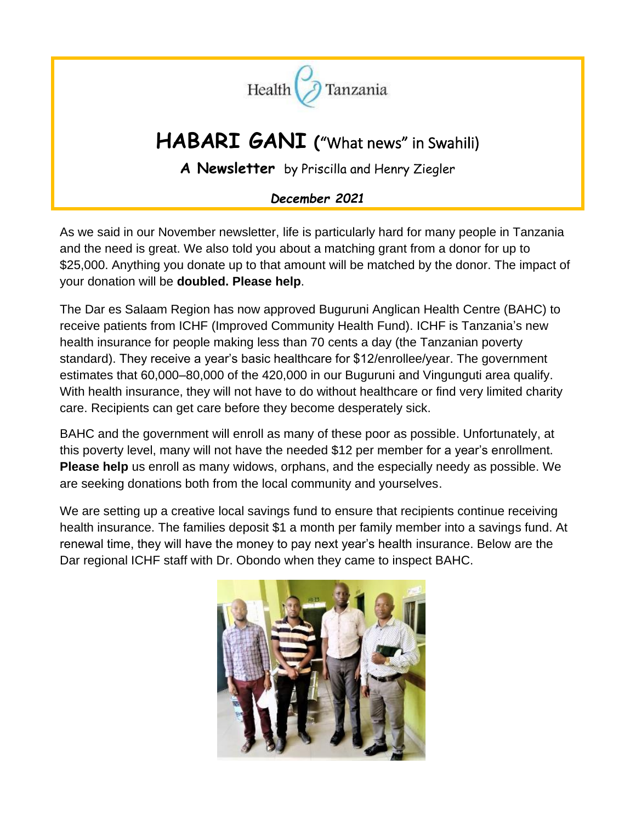

# **HABARI GANI** ("What news" in Swahili)

**A Newsletter** by Priscilla and Henry Ziegler

## *December 2021*

As we said in our November newsletter, life is particularly hard for many people in Tanzania and the need is great. We also told you about a matching grant from a donor for up to \$25,000. Anything you donate up to that amount will be matched by the donor. The impact of your donation will be **doubled. Please help**.

The Dar es Salaam Region has now approved Buguruni Anglican Health Centre (BAHC) to receive patients from ICHF (Improved Community Health Fund). ICHF is Tanzania's new health insurance for people making less than 70 cents a day (the Tanzanian poverty standard). They receive a year's basic healthcare for \$12/enrollee/year. The government estimates that 60,000–80,000 of the 420,000 in our Buguruni and Vingunguti area qualify. With health insurance, they will not have to do without healthcare or find very limited charity care. Recipients can get care before they become desperately sick.

BAHC and the government will enroll as many of these poor as possible. Unfortunately, at this poverty level, many will not have the needed \$12 per member for a year's enrollment. **Please help** us enroll as many widows, orphans, and the especially needy as possible. We are seeking donations both from the local community and yourselves.

We are setting up a creative local savings fund to ensure that recipients continue receiving health insurance. The families deposit \$1 a month per family member into a savings fund. At renewal time, they will have the money to pay next year's health insurance. Below are the Dar regional ICHF staff with Dr. Obondo when they came to inspect BAHC.

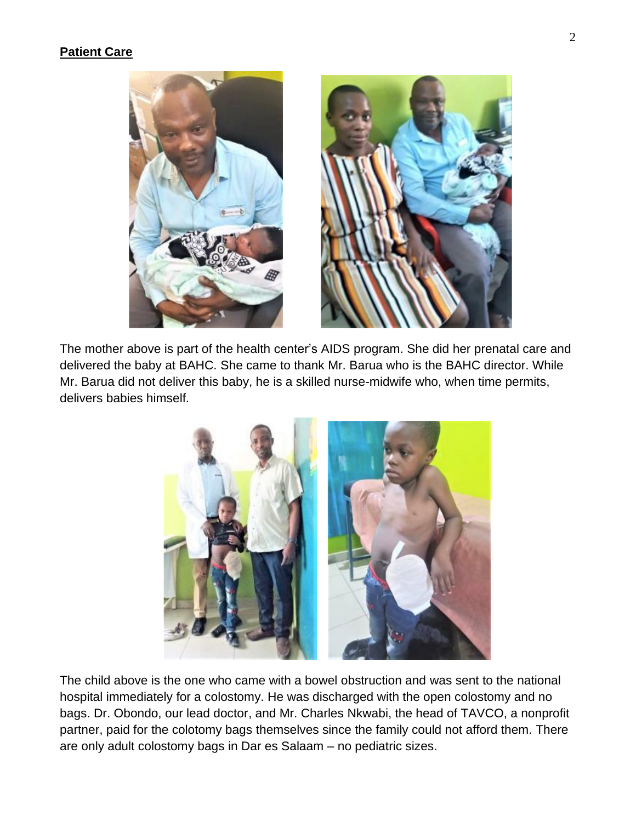#### **Patient Care**



The mother above is part of the health center's AIDS program. She did her prenatal care and delivered the baby at BAHC. She came to thank Mr. Barua who is the BAHC director. While Mr. Barua did not deliver this baby, he is a skilled nurse-midwife who, when time permits, delivers babies himself.



The child above is the one who came with a bowel obstruction and was sent to the national hospital immediately for a colostomy. He was discharged with the open colostomy and no bags. Dr. Obondo, our lead doctor, and Mr. Charles Nkwabi, the head of TAVCO, a nonprofit partner, paid for the colotomy bags themselves since the family could not afford them. There are only adult colostomy bags in Dar es Salaam – no pediatric sizes.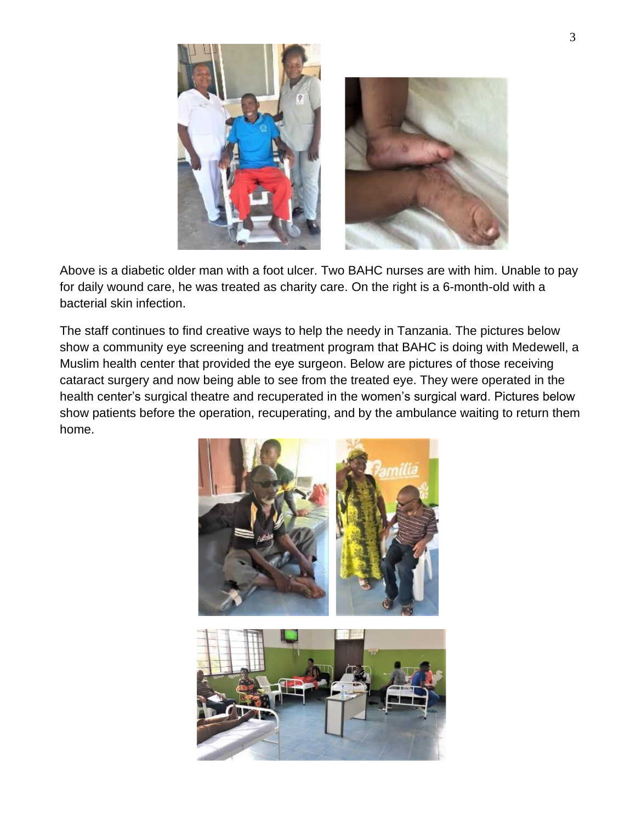

Above is a diabetic older man with a foot ulcer. Two BAHC nurses are with him. Unable to pay for daily wound care, he was treated as charity care. On the right is a 6-month-old with a bacterial skin infection.

The staff continues to find creative ways to help the needy in Tanzania. The pictures below show a community eye screening and treatment program that BAHC is doing with Medewell, a Muslim health center that provided the eye surgeon. Below are pictures of those receiving cataract surgery and now being able to see from the treated eye. They were operated in the health center's surgical theatre and recuperated in the women's surgical ward. Pictures below show patients before the operation, recuperating, and by the ambulance waiting to return them home.

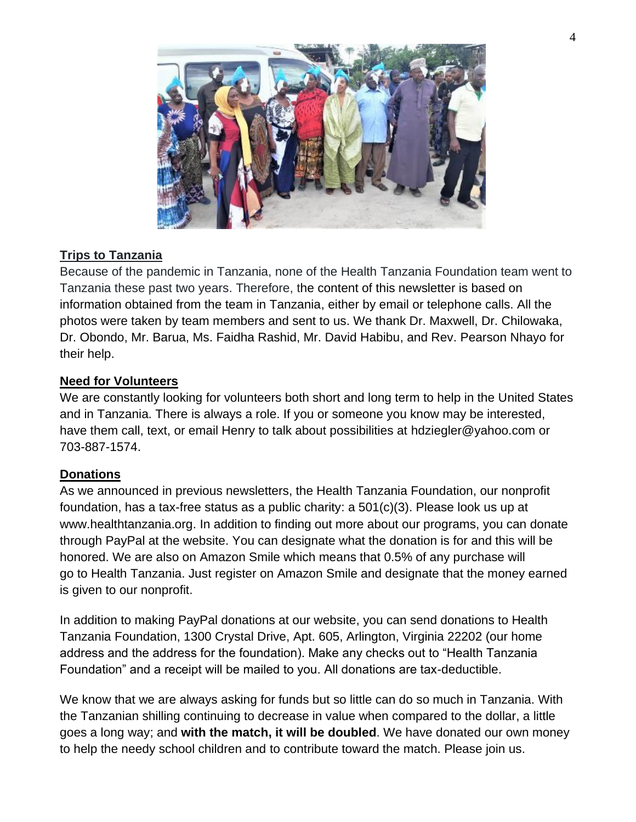

### **Trips to Tanzania**

Because of the pandemic in Tanzania, none of the Health Tanzania Foundation team went to Tanzania these past two years. Therefore, the content of this newsletter is based on information obtained from the team in Tanzania, either by email or telephone calls. All the photos were taken by team members and sent to us. We thank Dr. Maxwell, Dr. Chilowaka, Dr. Obondo, Mr. Barua, Ms. Faidha Rashid, Mr. David Habibu, and Rev. Pearson Nhayo for their help.

#### **Need for Volunteers**

We are constantly looking for volunteers both short and long term to help in the United States and in Tanzania. There is always a role. If you or someone you know may be interested, have them call, text, or email Henry to talk about possibilities at hdziegler@yahoo.com or 703-887-1574.

#### **Donations**

As we announced in previous newsletters, the Health Tanzania Foundation, our nonprofit foundation, has a tax-free status as a public charity: a 501(c)(3). Please look us up at [www.healthtanzania.org.](http://www.healthtanzania.org/) In addition to finding out more about our programs, you can donate through PayPal at the website. You can designate what the donation is for and this will be honored. We are also on Amazon Smile which means that 0.5% of any purchase will go to Health Tanzania. Just register on Amazon Smile and designate that the money earned is given to our nonprofit.

In addition to making PayPal donations at our website, you can send donations to Health Tanzania Foundation, 1300 Crystal Drive, Apt. 605, Arlington, Virginia 22202 (our home address and the address for the foundation). Make any checks out to "Health Tanzania Foundation" and a receipt will be mailed to you. All donations are tax-deductible.

We know that we are always asking for funds but so little can do so much in Tanzania. With the Tanzanian shilling continuing to decrease in value when compared to the dollar, a little goes a long way; and **with the match, it will be doubled**. We have donated our own money to help the needy school children and to contribute toward the match. Please join us.